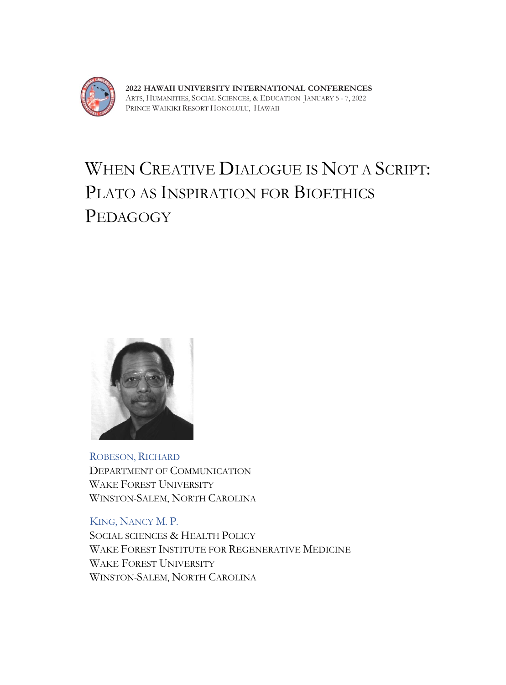

**2022 HAWAII UNIVERSITY INTERNATIONAL CONFERENCES** ARTS, HUMANITIES, SOCIAL SCIENCES, & EDUCATION JANUARY 5 - 7, 2022 PRINCE WAIKIKI RESORT HONOLULU, HAWAII

## WHEN CREATIVE DIALOGUE IS NOT A SCRIPT: PLATO AS INSPIRATION FOR BIOETHICS PEDAGOGY



ROBESON, RICHARD DEPARTMENT OF COMMUNICATION WAKE FOREST UNIVERSITY WINSTON-SALEM, NORTH CAROLINA

KING, NANCY M. P. SOCIAL SCIENCES & HEALTH POLICY WAKE FOREST INSTITUTE FOR REGENERATIVE MEDICINE WAKE FOREST UNIVERSITY WINSTON-SALEM, NORTH CAROLINA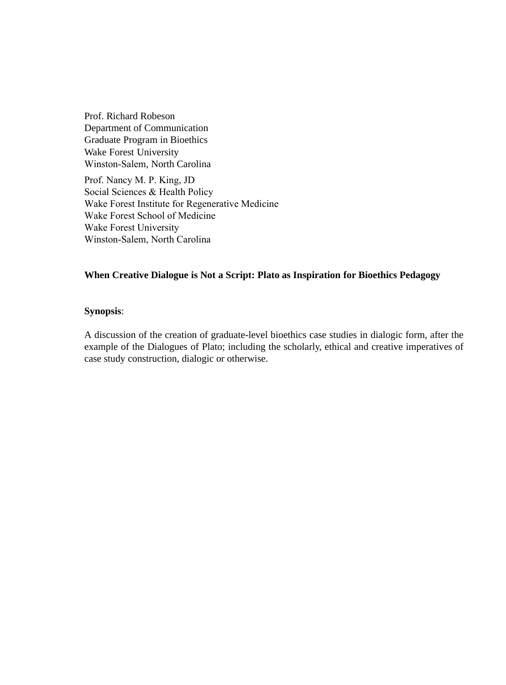Prof. Richard Robeson Department of Communication Graduate Program in Bioethics Wake Forest University Winston-Salem, North Carolina

Prof. Nancy M. P. King, JD Social Sciences & Health Policy Wake Forest Institute for Regenerative Medicine Wake Forest School of Medicine Wake Forest University Winston-Salem, North Carolina

## **When Creative Dialogue is Not a Script: Plato as Inspiration for Bioethics Pedagogy**

## **Synopsis**:

A discussion of the creation of graduate-level bioethics case studies in dialogic form, after the example of the Dialogues of Plato; including the scholarly, ethical and creative imperatives of case study construction, dialogic or otherwise.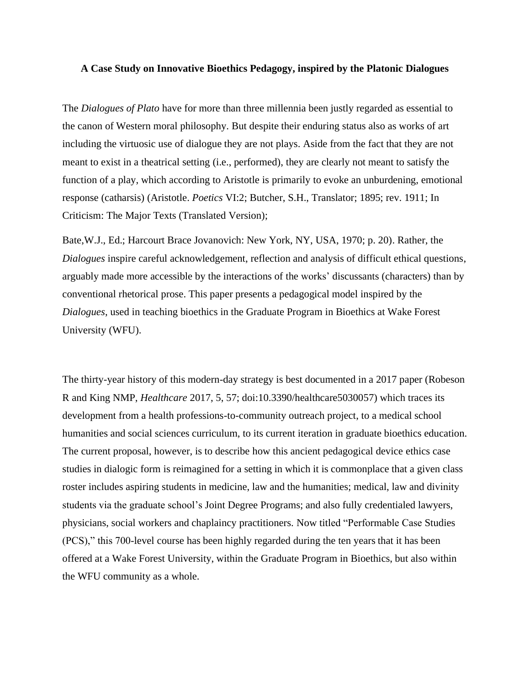## **A Case Study on Innovative Bioethics Pedagogy, inspired by the Platonic Dialogues**

The *Dialogues of Plato* have for more than three millennia been justly regarded as essential to the canon of Western moral philosophy. But despite their enduring status also as works of art including the virtuosic use of dialogue they are not plays. Aside from the fact that they are not meant to exist in a theatrical setting (i.e., performed), they are clearly not meant to satisfy the function of a play, which according to Aristotle is primarily to evoke an unburdening, emotional response (catharsis) (Aristotle. *Poetics* VI:2; Butcher, S.H., Translator; 1895; rev. 1911; In Criticism: The Major Texts (Translated Version);

Bate,W.J., Ed.; Harcourt Brace Jovanovich: New York, NY, USA, 1970; p. 20). Rather, the *Dialogues* inspire careful acknowledgement, reflection and analysis of difficult ethical questions, arguably made more accessible by the interactions of the works' discussants (characters) than by conventional rhetorical prose. This paper presents a pedagogical model inspired by the *Dialogues*, used in teaching bioethics in the Graduate Program in Bioethics at Wake Forest University (WFU).

The thirty-year history of this modern-day strategy is best documented in a 2017 paper (Robeson R and King NMP, *Healthcare* 2017, 5, 57; doi:10.3390/healthcare5030057) which traces its development from a health professions-to-community outreach project, to a medical school humanities and social sciences curriculum, to its current iteration in graduate bioethics education. The current proposal, however, is to describe how this ancient pedagogical device ethics case studies in dialogic form is reimagined for a setting in which it is commonplace that a given class roster includes aspiring students in medicine, law and the humanities; medical, law and divinity students via the graduate school's Joint Degree Programs; and also fully credentialed lawyers, physicians, social workers and chaplaincy practitioners. Now titled "Performable Case Studies (PCS)," this 700-level course has been highly regarded during the ten years that it has been offered at a Wake Forest University, within the Graduate Program in Bioethics, but also within the WFU community as a whole.